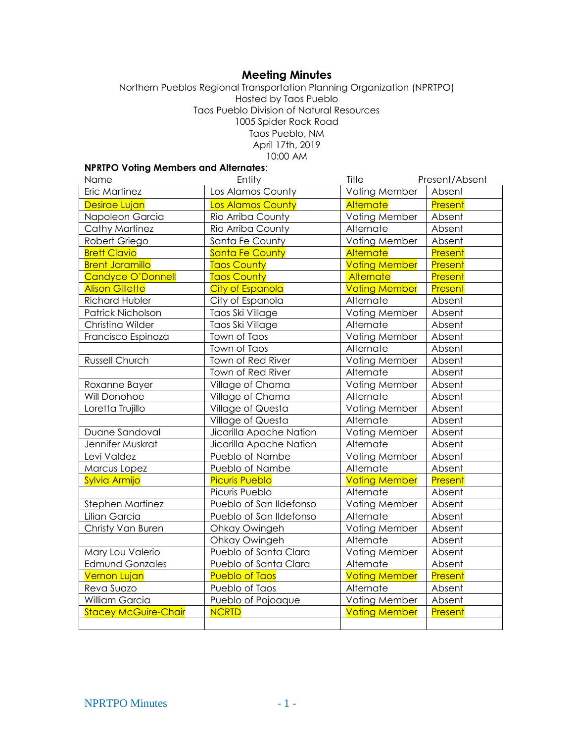# **Meeting Minutes**

Northern Pueblos Regional Transportation Planning Organization (NPRTPO) Hosted by Taos Pueblo Taos Pueblo Division of Natural Resources 1005 Spider Rock Road Taos Pueblo, NM April 17th, 2019 10:00 AM

## **NPRTPO Voting Members and Alternates**:

| Name                        | Entity                  | Title                | Present/Absent |
|-----------------------------|-------------------------|----------------------|----------------|
| Eric Martinez               | Los Alamos County       | Voting Member        | Absent         |
| Desirae Lujan               | Los Alamos County       | Alternate            | Present        |
| Napoleon Garcia             | Rio Arriba County       | Voting Member        | Absent         |
| Cathy Martinez              | Rio Arriba County       | Alternate            | Absent         |
| Robert Griego               | Santa Fe County         | Voting Member        | Absent         |
| <b>Brett Clavio</b>         | <b>Santa Fe County</b>  | <b>Alternate</b>     | Present        |
| <b>Brent Jaramillo</b>      | <b>Taos County</b>      | <b>Voting Member</b> | Present        |
| <b>Candyce O'Donnell</b>    | <b>Taos County</b>      | Alternate            | Present        |
| <b>Alison Gillette</b>      | <b>City of Espanola</b> | <b>Voting Member</b> | <b>Present</b> |
| <b>Richard Hubler</b>       | City of Espanola        | Alternate            | Absent         |
| Patrick Nicholson           | Taos Ski Village        | Voting Member        | Absent         |
| Christina Wilder            | Taos Ski Village        | Alternate            | Absent         |
| Francisco Espinoza          | Town of Taos            | Voting Member        | Absent         |
|                             | Town of Taos            | Alternate            | Absent         |
| Russell Church              | Town of Red River       | Voting Member        | Absent         |
|                             | Town of Red River       | Alternate            | Absent         |
| Roxanne Bayer               | Village of Chama        | Voting Member        | Absent         |
| Will Donohoe                | Village of Chama        | Alternate            | Absent         |
| Loretta Trujillo            | Village of Questa       | Voting Member        | Absent         |
|                             | Village of Questa       | Alternate            | Absent         |
| Duane Sandoval              | Jicarilla Apache Nation | Voting Member        | Absent         |
| Jennifer Muskrat            | Jicarilla Apache Nation | Alternate            | Absent         |
| Levi Valdez                 | Pueblo of Nambe         | Voting Member        | Absent         |
| Marcus Lopez                | Pueblo of Nambe         | Alternate            | Absent         |
| Sylvia Armijo               | <b>Picuris Pueblo</b>   | <b>Voting Member</b> | Present        |
|                             | Picuris Pueblo          | Alternate            | Absent         |
| Stephen Martinez            | Pueblo of San Ildefonso | Voting Member        | Absent         |
| Lilian Garcia               | Pueblo of San Ildefonso | Alternate            | Absent         |
| Christy Van Buren           | Ohkay Owingeh           | Voting Member        | Absent         |
|                             | Ohkay Owingeh           | Alternate            | Absent         |
| Mary Lou Valerio            | Pueblo of Santa Clara   | Voting Member        | Absent         |
| <b>Edmund Gonzales</b>      | Pueblo of Santa Clara   | Alternate            | Absent         |
| <b>Vernon Lujan</b>         | <b>Pueblo of Taos</b>   | <b>Voting Member</b> | Present        |
| Reva Suazo                  | Pueblo of Taos          | Alternate            | Absent         |
| William Garcia              | Pueblo of Pojoaque      | Voting Member        | Absent         |
| <b>Stacey McGuire-Chair</b> | <b>NCRTD</b>            | <b>Voting Member</b> | Present        |
|                             |                         |                      |                |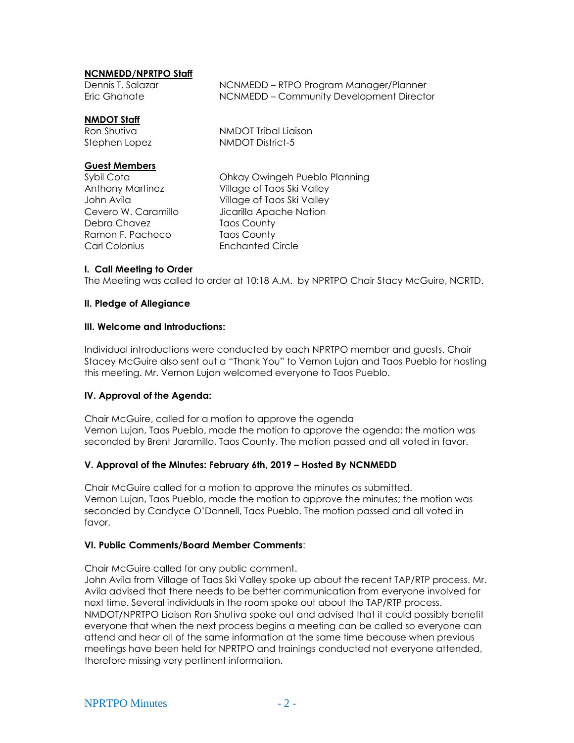### **NCNMEDD/NPRTPO Staff**

| Dennis T. Salazar | NCNMEDD – RTPO Program Manager/Planner   |
|-------------------|------------------------------------------|
| Eric Ghahate      | NCNMEDD – Community Development Director |
|                   |                                          |

#### **NMDOT Staff**

Ron Shutiva NMDOT Tribal Liaison Stephen Lopez NMDOT District-5

## **Guest Members**

Debra Chavez Taos County Ramon F. Pacheco Taos County Carl Colonius Enchanted Circle

Sybil Cota Ohkay Owingeh Pueblo Planning Anthony Martinez Village of Taos Ski Valley John Avila Village of Taos Ski Valley Cevero W. Caramillo *Jicarilla Apache Nation* 

## **I. Call Meeting to Order**

The Meeting was called to order at 10:18 A.M. by NPRTPO Chair Stacy McGuire, NCRTD.

#### **II. Pledge of Allegiance**

#### **III. Welcome and Introductions:**

Individual introductions were conducted by each NPRTPO member and guests. Chair Stacey McGuire also sent out a "Thank You" to Vernon Lujan and Taos Pueblo for hosting this meeting. Mr. Vernon Lujan welcomed everyone to Taos Pueblo.

#### **IV. Approval of the Agenda:**

Chair McGuire, called for a motion to approve the agenda Vernon Lujan, Taos Pueblo, made the motion to approve the agenda; the motion was seconded by Brent Jaramillo, Taos County. The motion passed and all voted in favor.

#### **V. Approval of the Minutes: February 6th, 2019 – Hosted By NCNMEDD**

Chair McGuire called for a motion to approve the minutes as submitted. Vernon Lujan, Taos Pueblo, made the motion to approve the minutes; the motion was seconded by Candyce O'Donnell, Taos Pueblo. The motion passed and all voted in favor.

#### **VI. Public Comments/Board Member Comments**:

Chair McGuire called for any public comment.

John Avila from Village of Taos Ski Valley spoke up about the recent TAP/RTP process. Mr. Avila advised that there needs to be better communication from everyone involved for next time. Several individuals in the room spoke out about the TAP/RTP process. NMDOT/NPRTPO Liaison Ron Shutiva spoke out and advised that it could possibly benefit everyone that when the next process begins a meeting can be called so everyone can attend and hear all of the same information at the same time because when previous meetings have been held for NPRTPO and trainings conducted not everyone attended, therefore missing very pertinent information.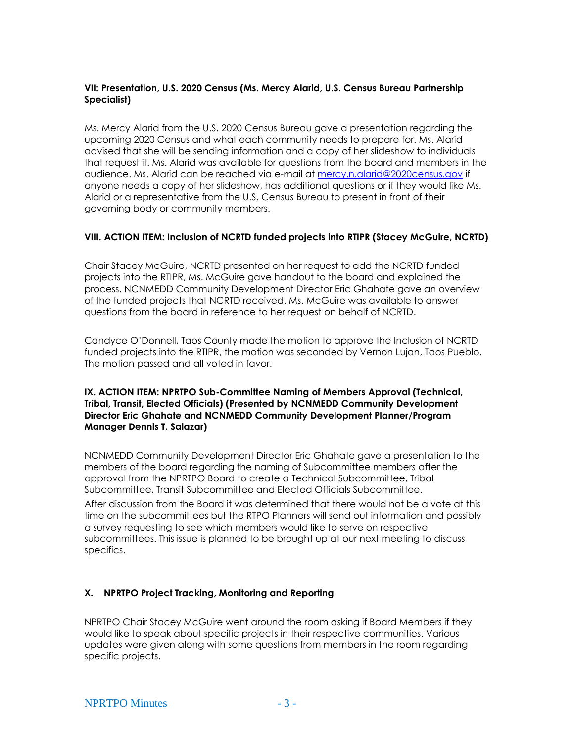## **VII: Presentation, U.S. 2020 Census (Ms. Mercy Alarid, U.S. Census Bureau Partnership Specialist)**

Ms. Mercy Alarid from the U.S. 2020 Census Bureau gave a presentation regarding the upcoming 2020 Census and what each community needs to prepare for. Ms. Alarid advised that she will be sending information and a copy of her slideshow to individuals that request it. Ms. Alarid was available for questions from the board and members in the audience. Ms. Alarid can be reached via e-mail at [mercy.n.alarid@2020census.gov](mailto:mercy.n.alarid@2020census.gov) if anyone needs a copy of her slideshow, has additional questions or if they would like Ms. Alarid or a representative from the U.S. Census Bureau to present in front of their governing body or community members.

#### **VIII. ACTION ITEM: Inclusion of NCRTD funded projects into RTIPR (Stacey McGuire, NCRTD)**

Chair Stacey McGuire, NCRTD presented on her request to add the NCRTD funded projects into the RTIPR, Ms. McGuire gave handout to the board and explained the process. NCNMEDD Community Development Director Eric Ghahate gave an overview of the funded projects that NCRTD received. Ms. McGuire was available to answer questions from the board in reference to her request on behalf of NCRTD.

Candyce O'Donnell, Taos County made the motion to approve the Inclusion of NCRTD funded projects into the RTIPR, the motion was seconded by Vernon Lujan, Taos Pueblo. The motion passed and all voted in favor.

## **IX. ACTION ITEM: NPRTPO Sub-Committee Naming of Members Approval (Technical, Tribal, Transit, Elected Officials) (Presented by NCNMEDD Community Development Director Eric Ghahate and NCNMEDD Community Development Planner/Program Manager Dennis T. Salazar)**

NCNMEDD Community Development Director Eric Ghahate gave a presentation to the members of the board regarding the naming of Subcommittee members after the approval from the NPRTPO Board to create a Technical Subcommittee, Tribal Subcommittee, Transit Subcommittee and Elected Officials Subcommittee.

After discussion from the Board it was determined that there would not be a vote at this time on the subcommittees but the RTPO Planners will send out information and possibly a survey requesting to see which members would like to serve on respective subcommittees. This issue is planned to be brought up at our next meeting to discuss specifics.

## **X. NPRTPO Project Tracking, Monitoring and Reporting**

NPRTPO Chair Stacey McGuire went around the room asking if Board Members if they would like to speak about specific projects in their respective communities. Various updates were given along with some questions from members in the room regarding specific projects.